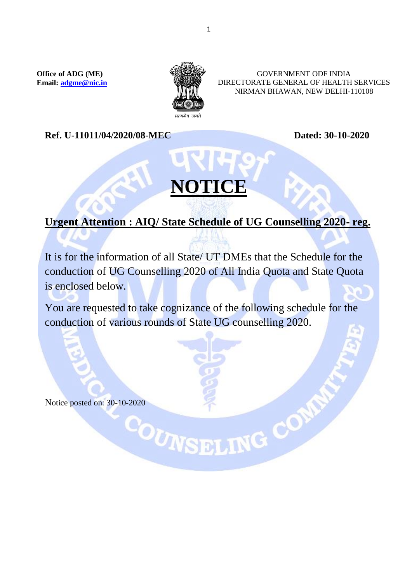**Office of ADG (ME) Email: [adgme@nic.in](mailto:adgme@nic.in)**



GOVERNMENT ODF INDIA DIRECTORATE GENERAL OF HEALTH SERVICES NIRMAN BHAWAN, NEW DELHI-110108

**Ref.** U-11011/04/2020/08-MEC Dated: 30-10-2020

## **NOTICE**

## **Urgent Attention : AIQ/ State Schedule of UG Counselling 2020- reg.**

It is for the information of all State/ UT DMEs that the Schedule for the conduction of UG Counselling 2020 of All India Quota and State Quota is enclosed below.

You are requested to take cognizance of the following schedule for the conduction of various rounds of State UG counselling 2020.

Notice posted on: 30-10-2020